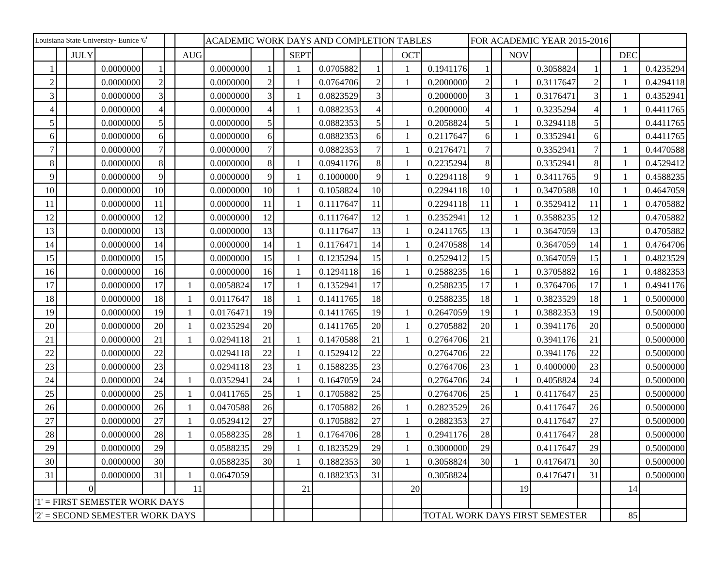| Louisiana State University- Eunice '6' |             |           |                 |  |            |           | ACADEMIC WORK DAYS AND COMPLETION TABLES |              |           |                | FOR ACADEMIC YEAR 2015-2016 |                                |                |                |           |                |            |           |
|----------------------------------------|-------------|-----------|-----------------|--|------------|-----------|------------------------------------------|--------------|-----------|----------------|-----------------------------|--------------------------------|----------------|----------------|-----------|----------------|------------|-----------|
|                                        | <b>JULY</b> |           |                 |  | <b>AUG</b> |           |                                          | <b>SEPT</b>  |           |                | <b>OCT</b>                  |                                |                | <b>NOV</b>     |           |                | <b>DEC</b> |           |
|                                        |             | 0.0000000 |                 |  |            | 0.0000000 |                                          |              | 0.0705882 |                |                             | 0.1941176                      |                |                | 0.3058824 |                |            | 0.4235294 |
| $\overline{2}$                         |             | 0.0000000 | $\overline{2}$  |  |            | 0.0000000 | $\overline{2}$                           |              | 0.0764706 | $\overline{2}$ |                             | 0.2000000                      | $\overline{c}$ | $\mathbf{1}$   | 0.3117647 | $\overline{2}$ |            | 0.4294118 |
| 3                                      |             | 0.0000000 | 3               |  |            | 0.0000000 | $\overline{3}$                           |              | 0.0823529 | 3              |                             | 0.2000000                      | $\overline{3}$ | 1              | 0.3176471 | 3              |            | 0.4352941 |
| Δ                                      |             | 0.0000000 |                 |  |            | 0.0000000 | $\overline{4}$                           |              | 0.0882353 | 4              |                             | 0.2000000                      |                |                | 0.3235294 | $\overline{4}$ |            | 0.4411765 |
| 5                                      |             | 0.0000000 | 5               |  |            | 0.0000000 | 5 <sup>1</sup>                           |              | 0.0882353 | 5              |                             | 0.2058824                      | 5              | -1             | 0.3294118 | 5              |            | 0.4411765 |
| 6                                      |             | 0.0000000 | 6               |  |            | 0.0000000 | 6 <sup>1</sup>                           |              | 0.0882353 | 6              |                             | 0.2117647                      | 6              | $\mathbf{1}$   | 0.3352941 | 6              |            | 0.4411765 |
|                                        |             | 0.0000000 |                 |  |            | 0.0000000 | $\overline{7}$                           |              | 0.0882353 | 7              |                             | 0.2176471                      | 7              |                | 0.3352941 | 7              |            | 0.4470588 |
| 8                                      |             | 0.0000000 | 8               |  |            | 0.0000000 | 8                                        |              | 0.0941176 | 8              |                             | 0.2235294                      | 8              |                | 0.3352941 | 8              |            | 0.4529412 |
| 9                                      |             | 0.0000000 | 9               |  |            | 0.0000000 | $\overline{9}$                           |              | 0.1000000 | 9              |                             | 0.2294118                      | 9              | -1             | 0.3411765 | 9              |            | 0.4588235 |
| 10                                     |             | 0.0000000 | 10              |  |            | 0.0000000 | 10                                       |              | 0.1058824 | 10             |                             | 0.2294118                      | 10             | 1              | 0.3470588 | 10             |            | 0.4647059 |
| 11                                     |             | 0.0000000 | 11              |  |            | 0.0000000 | 11                                       | $\mathbf{1}$ | 0.1117647 | 11             |                             | 0.2294118                      | 11             | -1             | 0.3529412 | 11             |            | 0.4705882 |
| 12                                     |             | 0.0000000 | 12              |  |            | 0.0000000 | 12                                       |              | 0.1117647 | 12             | 1                           | 0.2352941                      | 12             | $\mathbf{1}$   | 0.3588235 | 12             |            | 0.4705882 |
| 13                                     |             | 0.0000000 | 13              |  |            | 0.0000000 | 13                                       |              | 0.1117647 | 13             |                             | 0.2411765                      | 13             | -1             | 0.3647059 | 13             |            | 0.4705882 |
| 14                                     |             | 0.0000000 | 14              |  |            | 0.0000000 | 14                                       |              | 0.1176471 | 14             |                             | 0.2470588                      | 14             |                | 0.3647059 | 14             |            | 0.4764706 |
| 15                                     |             | 0.0000000 | 15              |  |            | 0.0000000 | 15                                       |              | 0.1235294 | 15             |                             | 0.2529412                      | 15             |                | 0.3647059 | 15             |            | 0.4823529 |
| 16                                     |             | 0.0000000 | 16              |  |            | 0.0000000 | 16                                       |              | 0.1294118 | 16             |                             | 0.2588235                      | 16             | -1             | 0.3705882 | 16             |            | 0.4882353 |
| 17                                     |             | 0.0000000 | 17              |  |            | 0.0058824 | 17                                       |              | 0.1352941 | 17             |                             | 0.2588235                      | 17             |                | 0.3764706 | 17             |            | 0.4941176 |
| 18                                     |             | 0.0000000 | 18              |  |            | 0.0117647 | 18                                       |              | 0.1411765 | 18             |                             | 0.2588235                      | 18             | -1             | 0.3823529 | 18             |            | 0.5000000 |
| 19                                     |             | 0.0000000 | 19              |  |            | 0.0176471 | 19                                       |              | 0.1411765 | 19             |                             | 0.2647059                      | 19             | $\mathbf{1}$   | 0.3882353 | 19             |            | 0.5000000 |
| 20                                     |             | 0.0000000 | 20              |  |            | 0.0235294 | 20                                       |              | 0.1411765 | 20             |                             | 0.2705882                      | 20             | -1             | 0.3941176 | 20             |            | 0.5000000 |
| 21                                     |             | 0.0000000 | 21              |  |            | 0.0294118 | 21                                       |              | 0.1470588 | 21             |                             | 0.2764706                      | 21             |                | 0.3941176 | 21             |            | 0.5000000 |
| 22                                     |             | 0.0000000 | 22              |  |            | 0.0294118 | 22                                       |              | 0.1529412 | 22             |                             | 0.2764706                      | 22             |                | 0.3941176 | 22             |            | 0.5000000 |
| 23                                     |             | 0.0000000 | 23              |  |            | 0.0294118 | 23                                       |              | 0.1588235 | 23             |                             | 0.2764706                      | 23             | $\mathbf{1}$   | 0.4000000 | 23             |            | 0.5000000 |
| 24                                     |             | 0.0000000 | 24              |  |            | 0.0352941 | 24                                       | $\mathbf{1}$ | 0.1647059 | 24             |                             | 0.2764706                      | 24             | 1              | 0.4058824 | 24             |            | 0.5000000 |
| 25                                     |             | 0.0000000 | 25              |  |            | 0.0411765 | 25                                       |              | 0.1705882 | 25             |                             | 0.2764706                      | 25             | -1             | 0.4117647 | 25             |            | 0.5000000 |
| 26                                     |             | 0.0000000 | 26              |  |            | 0.0470588 | 26                                       |              | 0.1705882 | 26             |                             | 0.2823529                      | 26             |                | 0.4117647 | 26             |            | 0.5000000 |
| 27                                     |             | 0.0000000 | 27              |  |            | 0.0529412 | 27                                       |              | 0.1705882 | 27             |                             | 0.2882353                      | 27             |                | 0.4117647 | 27             |            | 0.5000000 |
| 28                                     |             | 0.0000000 | 28              |  |            | 0.0588235 | 28                                       |              | 0.1764706 | 28             |                             | 0.2941176                      | $28\,$         |                | 0.4117647 | 28             |            | 0.5000000 |
| 29                                     |             | 0.0000000 | 29              |  |            | 0.0588235 | 29                                       |              | 0.1823529 | 29             |                             | 0.3000000                      | 29             |                | 0.4117647 | 29             |            | 0.5000000 |
| 30                                     |             | 0.0000000 | 30 <sup>l</sup> |  |            | 0.0588235 | 30                                       | $\mathbf{1}$ | 0.1882353 | 30             | $\mathbf{1}$                | 0.3058824                      | 30             | $\overline{1}$ | 0.4176471 | 30             |            | 0.5000000 |
| 31                                     |             | 0.0000000 | 31              |  |            | 0.0647059 |                                          |              | 0.1882353 | 31             |                             | 0.3058824                      |                |                | 0.4176471 | 31             |            | 0.5000000 |
|                                        | $\theta$    |           |                 |  | 11         |           |                                          | 21           |           |                | 20                          |                                |                | 19             |           |                | 14         |           |
| '1' = FIRST SEMESTER WORK DAYS         |             |           |                 |  |            |           |                                          |              |           |                |                             |                                |                |                |           |                |            |           |
| $2'$ = SECOND SEMESTER WORK DAYS       |             |           |                 |  |            |           |                                          |              |           |                |                             | TOTAL WORK DAYS FIRST SEMESTER |                |                |           |                | 85         |           |